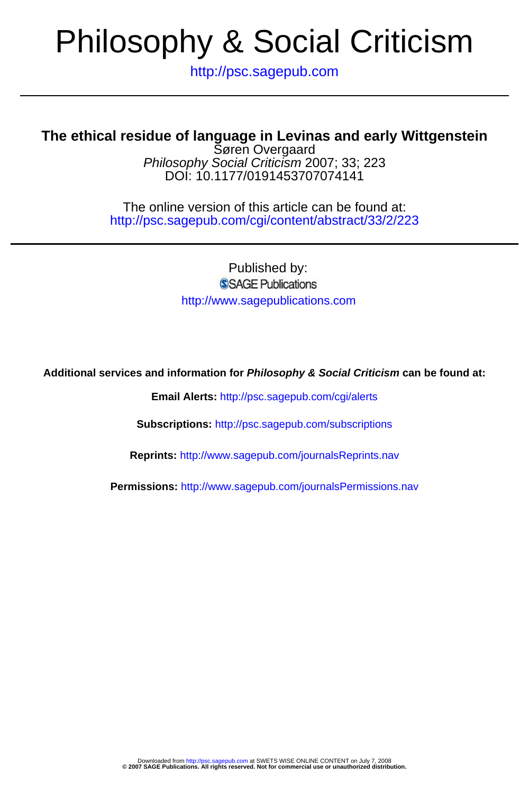# Philosophy & Social Criticism

http://psc.sagepub.com

#### **The ethical residue of language in Levinas and early Wittgenstein**

DOI: 10.1177/0191453707074141 Philosophy Social Criticism 2007; 33; 223 Søren Overgaard

http://psc.sagepub.com/cgi/content/abstract/33/2/223 The online version of this article can be found at:

> Published by: SSAGE Publications http://www.sagepublications.com

#### **Additional services and information for Philosophy & Social Criticism can be found at:**

**Email Alerts:** <http://psc.sagepub.com/cgi/alerts>

**Subscriptions:** <http://psc.sagepub.com/subscriptions>

**Reprints:** <http://www.sagepub.com/journalsReprints.nav>

**Permissions:** <http://www.sagepub.com/journalsPermissions.nav>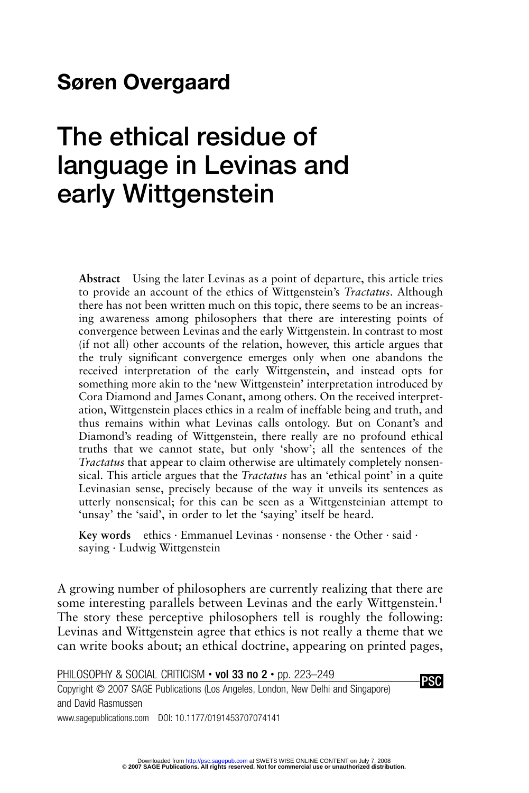# **Søren Overgaard**

# **The ethical residue of language in Levinas and early Wittgenstein**

**Abstract** Using the later Levinas as a point of departure, this article tries to provide an account of the ethics of Wittgenstein's *Tractatus*. Although there has not been written much on this topic, there seems to be an increasing awareness among philosophers that there are interesting points of convergence between Levinas and the early Wittgenstein. In contrast to most (if not all) other accounts of the relation, however, this article argues that the truly significant convergence emerges only when one abandons the received interpretation of the early Wittgenstein, and instead opts for something more akin to the 'new Wittgenstein' interpretation introduced by Cora Diamond and James Conant, among others. On the received interpretation, Wittgenstein places ethics in a realm of ineffable being and truth, and thus remains within what Levinas calls ontology. But on Conant's and Diamond's reading of Wittgenstein, there really are no profound ethical truths that we cannot state, but only 'show'; all the sentences of the *Tractatus* that appear to claim otherwise are ultimately completely nonsensical. This article argues that the *Tractatus* has an 'ethical point' in a quite Levinasian sense, precisely because of the way it unveils its sentences as utterly nonsensical; for this can be seen as a Wittgensteinian attempt to 'unsay' the 'said', in order to let the 'saying' itself be heard.

**Key words** ethics · Emmanuel Levinas · nonsense · the Other · said · saying · Ludwig Wittgenstein

A growing number of philosophers are currently realizing that there are some interesting parallels between Levinas and the early Wittgenstein.<sup>1</sup> The story these perceptive philosophers tell is roughly the following: Levinas and Wittgenstein agree that ethics is not really a theme that we can write books about; an ethical doctrine, appearing on printed pages,

PHILOSOPHY & SOCIAL CRITICISM • vol 33 no  $2 \cdot$  pp. 223–249 Copyright © 2007 SAGE Publications (Los Angeles, London, New Delhi and Singapore) and David Rasmussen www.sagepublications.com DOI: 10.1177/0191453707074141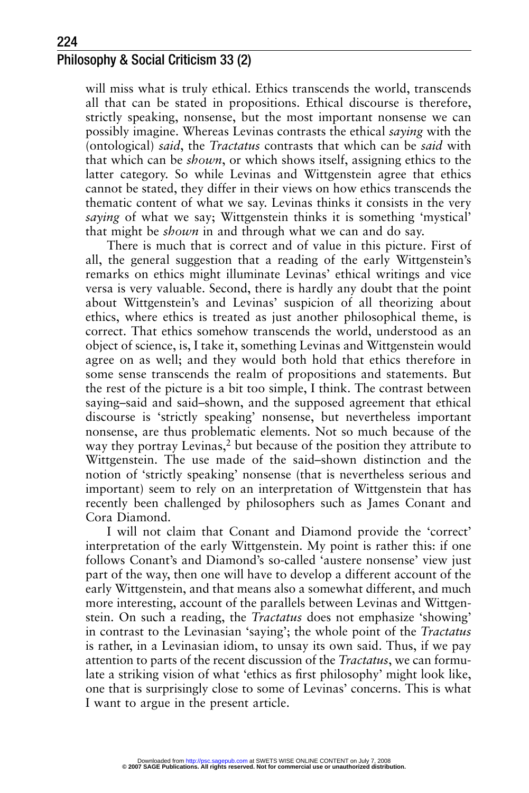will miss what is truly ethical. Ethics transcends the world, transcends all that can be stated in propositions. Ethical discourse is therefore, strictly speaking, nonsense, but the most important nonsense we can possibly imagine. Whereas Levinas contrasts the ethical *saying* with the (ontological) *said*, the *Tractatus* contrasts that which can be *said* with that which can be *shown*, or which shows itself, assigning ethics to the latter category. So while Levinas and Wittgenstein agree that ethics cannot be stated, they differ in their views on how ethics transcends the thematic content of what we say. Levinas thinks it consists in the very *saying* of what we say; Wittgenstein thinks it is something 'mystical' that might be *shown* in and through what we can and do say.

There is much that is correct and of value in this picture. First of all, the general suggestion that a reading of the early Wittgenstein's remarks on ethics might illuminate Levinas' ethical writings and vice versa is very valuable. Second, there is hardly any doubt that the point about Wittgenstein's and Levinas' suspicion of all theorizing about ethics, where ethics is treated as just another philosophical theme, is correct. That ethics somehow transcends the world, understood as an object of science, is, I take it, something Levinas and Wittgenstein would agree on as well; and they would both hold that ethics therefore in some sense transcends the realm of propositions and statements. But the rest of the picture is a bit too simple, I think. The contrast between saying–said and said–shown, and the supposed agreement that ethical discourse is 'strictly speaking' nonsense, but nevertheless important nonsense, are thus problematic elements. Not so much because of the way they portray Levinas,<sup>2</sup> but because of the position they attribute to Wittgenstein. The use made of the said–shown distinction and the notion of 'strictly speaking' nonsense (that is nevertheless serious and important) seem to rely on an interpretation of Wittgenstein that has recently been challenged by philosophers such as James Conant and Cora Diamond.

I will not claim that Conant and Diamond provide the 'correct' interpretation of the early Wittgenstein. My point is rather this: if one follows Conant's and Diamond's so-called 'austere nonsense' view just part of the way, then one will have to develop a different account of the early Wittgenstein, and that means also a somewhat different, and much more interesting, account of the parallels between Levinas and Wittgenstein. On such a reading, the *Tractatus* does not emphasize 'showing' in contrast to the Levinasian 'saying'; the whole point of the *Tractatus* is rather, in a Levinasian idiom, to unsay its own said. Thus, if we pay attention to parts of the recent discussion of the *Tractatus*, we can formulate a striking vision of what 'ethics as first philosophy' might look like, one that is surprisingly close to some of Levinas' concerns. This is what I want to argue in the present article.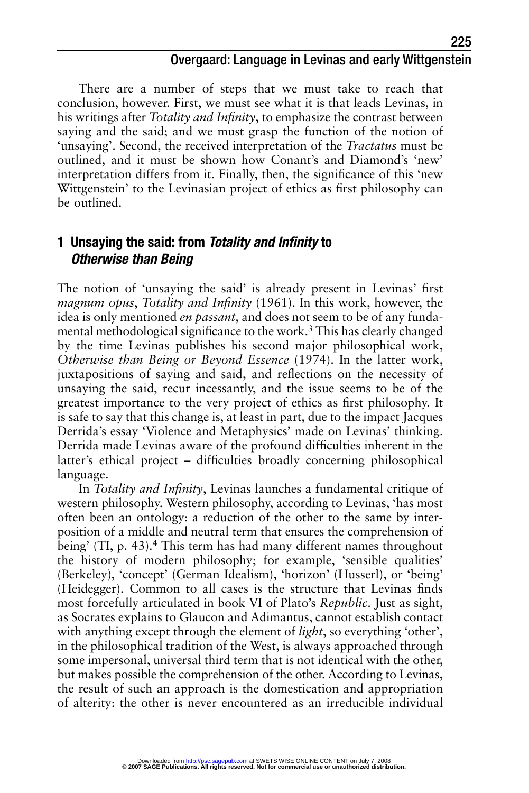There are a number of steps that we must take to reach that conclusion, however. First, we must see what it is that leads Levinas, in his writings after *Totality and Infinity*, to emphasize the contrast between saying and the said; and we must grasp the function of the notion of 'unsaying'. Second, the received interpretation of the *Tractatus* must be outlined, and it must be shown how Conant's and Diamond's 'new' interpretation differs from it. Finally, then, the significance of this 'new Wittgenstein' to the Levinasian project of ethics as first philosophy can be outlined.

#### **1 Unsaying the said: from Totality and Infinity to Otherwise than Being**

The notion of 'unsaying the said' is already present in Levinas' first *magnum opus*, *Totality and Infinity* (1961). In this work, however, the idea is only mentioned *en passant*, and does not seem to be of any fundamental methodological significance to the work.3 This has clearly changed by the time Levinas publishes his second major philosophical work, *Otherwise than Being or Beyond Essence* (1974). In the latter work, juxtapositions of saying and said, and reflections on the necessity of unsaying the said, recur incessantly, and the issue seems to be of the greatest importance to the very project of ethics as first philosophy. It is safe to say that this change is, at least in part, due to the impact Jacques Derrida's essay 'Violence and Metaphysics' made on Levinas' thinking. Derrida made Levinas aware of the profound difficulties inherent in the latter's ethical project – difficulties broadly concerning philosophical language.

In *Totality and Infinity*, Levinas launches a fundamental critique of western philosophy. Western philosophy, according to Levinas, 'has most often been an ontology: a reduction of the other to the same by interposition of a middle and neutral term that ensures the comprehension of being' (TI, p. 43).4 This term has had many different names throughout the history of modern philosophy; for example, 'sensible qualities' (Berkeley), 'concept' (German Idealism), 'horizon' (Husserl), or 'being' (Heidegger). Common to all cases is the structure that Levinas finds most forcefully articulated in book VI of Plato's *Republic*. Just as sight, as Socrates explains to Glaucon and Adimantus, cannot establish contact with anything except through the element of *light*, so everything 'other', in the philosophical tradition of the West, is always approached through some impersonal, universal third term that is not identical with the other, but makes possible the comprehension of the other. According to Levinas, the result of such an approach is the domestication and appropriation of alterity: the other is never encountered as an irreducible individual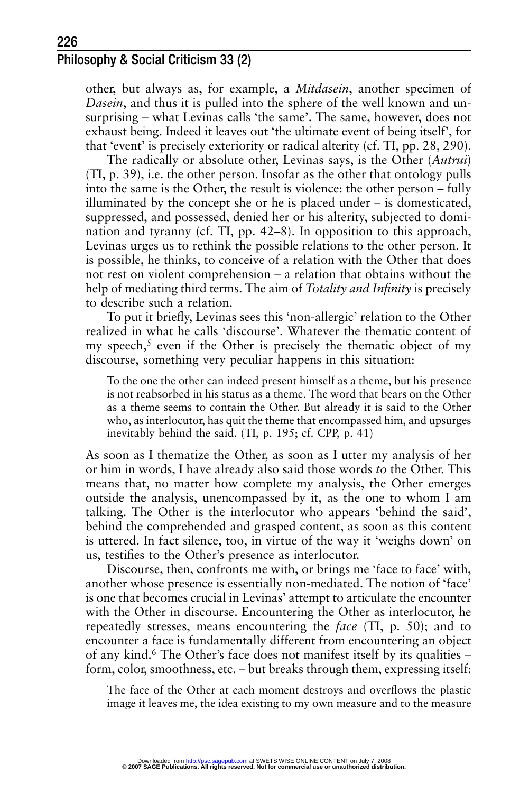other, but always as, for example, a *Mitdasein*, another specimen of *Dasein*, and thus it is pulled into the sphere of the well known and unsurprising – what Levinas calls 'the same'. The same, however, does not exhaust being. Indeed it leaves out 'the ultimate event of being itself', for that 'event' is precisely exteriority or radical alterity (cf. TI, pp. 28, 290).

The radically or absolute other, Levinas says, is the Other (*Autrui*) (TI, p. 39), i.e. the other person. Insofar as the other that ontology pulls into the same is the Other, the result is violence: the other person – fully illuminated by the concept she or he is placed under – is domesticated, suppressed, and possessed, denied her or his alterity, subjected to domination and tyranny (cf. TI, pp. 42–8). In opposition to this approach, Levinas urges us to rethink the possible relations to the other person. It is possible, he thinks, to conceive of a relation with the Other that does not rest on violent comprehension – a relation that obtains without the help of mediating third terms. The aim of *Totality and Infinity* is precisely to describe such a relation.

To put it briefly, Levinas sees this 'non-allergic' relation to the Other realized in what he calls 'discourse'. Whatever the thematic content of my speech,<sup>5</sup> even if the Other is precisely the thematic object of my discourse, something very peculiar happens in this situation:

To the one the other can indeed present himself as a theme, but his presence is not reabsorbed in his status as a theme. The word that bears on the Other as a theme seems to contain the Other. But already it is said to the Other who, as interlocutor, has quit the theme that encompassed him, and upsurges inevitably behind the said. (TI, p. 195; cf. CPP, p. 41)

As soon as I thematize the Other, as soon as I utter my analysis of her or him in words, I have already also said those words *to* the Other. This means that, no matter how complete my analysis, the Other emerges outside the analysis, unencompassed by it, as the one to whom I am talking. The Other is the interlocutor who appears 'behind the said', behind the comprehended and grasped content, as soon as this content is uttered. In fact silence, too, in virtue of the way it 'weighs down' on us, testifies to the Other's presence as interlocutor.

Discourse, then, confronts me with, or brings me 'face to face' with, another whose presence is essentially non-mediated. The notion of 'face' is one that becomes crucial in Levinas' attempt to articulate the encounter with the Other in discourse. Encountering the Other as interlocutor, he repeatedly stresses, means encountering the *face* (TI, p. 50); and to encounter a face is fundamentally different from encountering an object of any kind.6 The Other's face does not manifest itself by its qualities – form, color, smoothness, etc. – but breaks through them, expressing itself:

The face of the Other at each moment destroys and overflows the plastic image it leaves me, the idea existing to my own measure and to the measure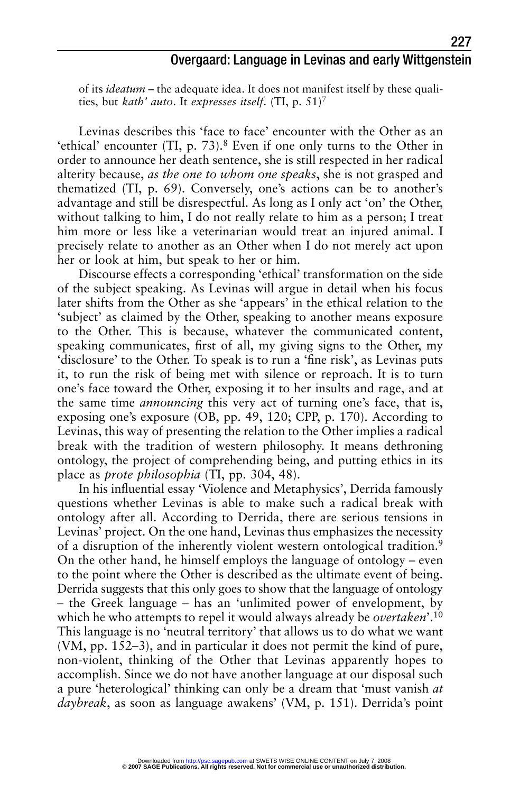of its *ideatum* – the adequate idea. It does not manifest itself by these qualities, but *kath' auto*. It *expresses itself*. (TI, p. 51)7

Levinas describes this 'face to face' encounter with the Other as an 'ethical' encounter (TI, p. 73).8 Even if one only turns to the Other in order to announce her death sentence, she is still respected in her radical alterity because, *as the one to whom one speaks*, she is not grasped and thematized (TI, p. 69). Conversely, one's actions can be to another's advantage and still be disrespectful. As long as I only act 'on' the Other, without talking to him, I do not really relate to him as a person; I treat him more or less like a veterinarian would treat an injured animal. I precisely relate to another as an Other when I do not merely act upon her or look at him, but speak to her or him.

Discourse effects a corresponding 'ethical' transformation on the side of the subject speaking. As Levinas will argue in detail when his focus later shifts from the Other as she 'appears' in the ethical relation to the 'subject' as claimed by the Other, speaking to another means exposure to the Other. This is because, whatever the communicated content, speaking communicates, first of all, my giving signs to the Other, my 'disclosure' to the Other. To speak is to run a 'fine risk', as Levinas puts it, to run the risk of being met with silence or reproach. It is to turn one's face toward the Other, exposing it to her insults and rage, and at the same time *announcing* this very act of turning one's face, that is, exposing one's exposure (OB, pp. 49, 120; CPP, p. 170). According to Levinas, this way of presenting the relation to the Other implies a radical break with the tradition of western philosophy. It means dethroning ontology, the project of comprehending being, and putting ethics in its place as *prote philosophia* (TI, pp. 304, 48).

In his influential essay 'Violence and Metaphysics', Derrida famously questions whether Levinas is able to make such a radical break with ontology after all. According to Derrida, there are serious tensions in Levinas' project. On the one hand, Levinas thus emphasizes the necessity of a disruption of the inherently violent western ontological tradition.9 On the other hand, he himself employs the language of ontology – even to the point where the Other is described as the ultimate event of being. Derrida suggests that this only goes to show that the language of ontology – the Greek language – has an 'unlimited power of envelopment, by which he who attempts to repel it would always already be *overtaken*'.10 This language is no 'neutral territory' that allows us to do what we want (VM, pp. 152–3), and in particular it does not permit the kind of pure, non-violent, thinking of the Other that Levinas apparently hopes to accomplish. Since we do not have another language at our disposal such a pure 'heterological' thinking can only be a dream that 'must vanish *at daybreak*, as soon as language awakens' (VM, p. 151). Derrida's point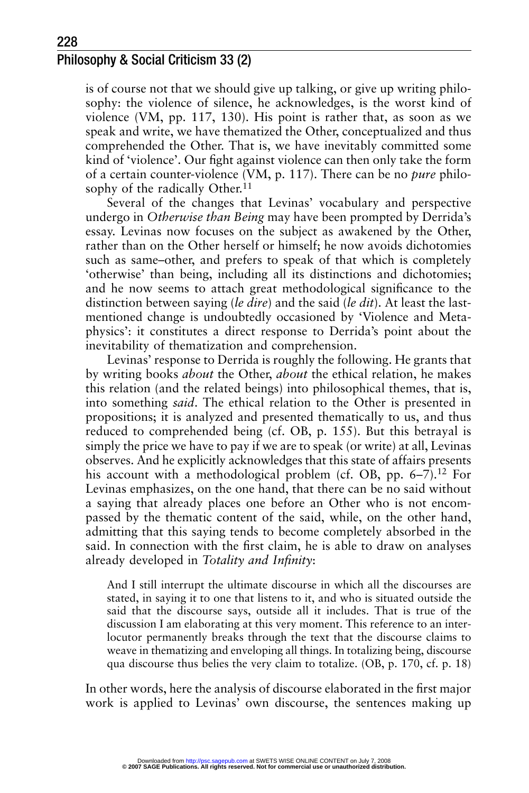is of course not that we should give up talking, or give up writing philosophy: the violence of silence, he acknowledges, is the worst kind of violence (VM, pp. 117, 130). His point is rather that, as soon as we speak and write, we have thematized the Other, conceptualized and thus comprehended the Other. That is, we have inevitably committed some kind of 'violence'. Our fight against violence can then only take the form of a certain counter-violence (VM, p. 117). There can be no *pure* philosophy of the radically Other.<sup>11</sup>

Several of the changes that Levinas' vocabulary and perspective undergo in *Otherwise than Being* may have been prompted by Derrida's essay. Levinas now focuses on the subject as awakened by the Other, rather than on the Other herself or himself; he now avoids dichotomies such as same–other, and prefers to speak of that which is completely 'otherwise' than being, including all its distinctions and dichotomies; and he now seems to attach great methodological significance to the distinction between saying (*le dire*) and the said (*le dit*). At least the lastmentioned change is undoubtedly occasioned by 'Violence and Metaphysics': it constitutes a direct response to Derrida's point about the inevitability of thematization and comprehension.

Levinas' response to Derrida is roughly the following. He grants that by writing books *about* the Other, *about* the ethical relation, he makes this relation (and the related beings) into philosophical themes, that is, into something *said*. The ethical relation to the Other is presented in propositions; it is analyzed and presented thematically to us, and thus reduced to comprehended being (cf. OB, p. 155). But this betrayal is simply the price we have to pay if we are to speak (or write) at all, Levinas observes. And he explicitly acknowledges that this state of affairs presents his account with a methodological problem (cf. OB, pp. 6–7).<sup>12</sup> For Levinas emphasizes, on the one hand, that there can be no said without a saying that already places one before an Other who is not encompassed by the thematic content of the said, while, on the other hand, admitting that this saying tends to become completely absorbed in the said. In connection with the first claim, he is able to draw on analyses already developed in *Totality and Infinity*:

And I still interrupt the ultimate discourse in which all the discourses are stated, in saying it to one that listens to it, and who is situated outside the said that the discourse says, outside all it includes. That is true of the discussion I am elaborating at this very moment. This reference to an interlocutor permanently breaks through the text that the discourse claims to weave in thematizing and enveloping all things. In totalizing being, discourse qua discourse thus belies the very claim to totalize. (OB, p. 170, cf. p. 18)

In other words, here the analysis of discourse elaborated in the first major work is applied to Levinas' own discourse, the sentences making up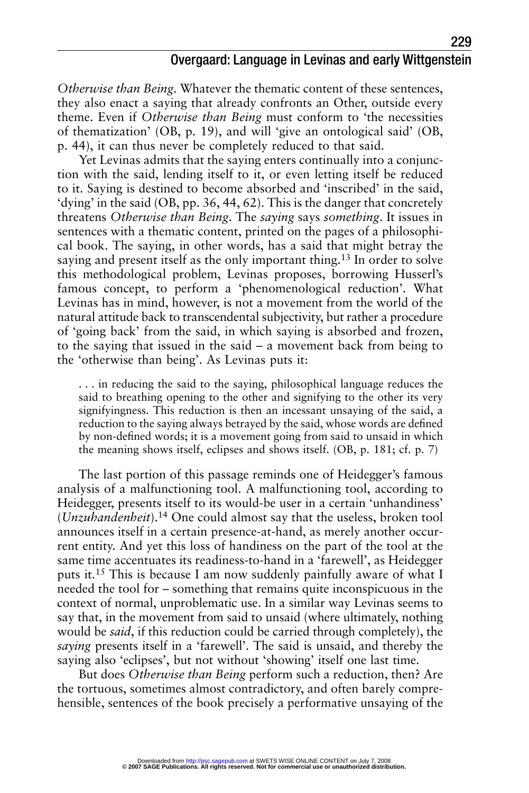*Otherwise than Being*. Whatever the thematic content of these sentences, they also enact a saying that already confronts an Other, outside every theme. Even if *Otherwise than Being* must conform to 'the necessities of thematization' (OB, p. 19), and will 'give an ontological said' (OB, p. 44), it can thus never be completely reduced to that said.

Yet Levinas admits that the saying enters continually into a conjunction with the said, lending itself to it, or even letting itself be reduced to it. Saying is destined to become absorbed and 'inscribed' in the said, 'dying' in the said (OB, pp. 36, 44, 62). This is the danger that concretely threatens *Otherwise than Being*. The *saying* says *something*. It issues in sentences with a thematic content, printed on the pages of a philosophical book. The saying, in other words, has a said that might betray the saying and present itself as the only important thing.<sup>13</sup> In order to solve this methodological problem, Levinas proposes, borrowing Husserl's famous concept, to perform a 'phenomenological reduction'. What Levinas has in mind, however, is not a movement from the world of the natural attitude back to transcendental subjectivity, but rather a procedure of 'going back' from the said, in which saying is absorbed and frozen, to the saying that issued in the said – a movement back from being to the 'otherwise than being'. As Levinas puts it:

. . . in reducing the said to the saying, philosophical language reduces the said to breathing opening to the other and signifying to the other its very signifyingness. This reduction is then an incessant unsaying of the said, a reduction to the saying always betrayed by the said, whose words are defined by non-defined words; it is a movement going from said to unsaid in which the meaning shows itself, eclipses and shows itself. (OB, p. 181; cf. p. 7)

The last portion of this passage reminds one of Heidegger's famous analysis of a malfunctioning tool. A malfunctioning tool, according to Heidegger, presents itself to its would-be user in a certain 'unhandiness' (*Unzuhandenheit*).14 One could almost say that the useless, broken tool announces itself in a certain presence-at-hand, as merely another occurrent entity. And yet this loss of handiness on the part of the tool at the same time accentuates its readiness-to-hand in a 'farewell', as Heidegger puts it.15 This is because I am now suddenly painfully aware of what I needed the tool for – something that remains quite inconspicuous in the context of normal, unproblematic use. In a similar way Levinas seems to say that, in the movement from said to unsaid (where ultimately, nothing would be *said*, if this reduction could be carried through completely), the *saying* presents itself in a 'farewell'. The said is unsaid, and thereby the saying also 'eclipses', but not without 'showing' itself one last time.

But does *Otherwise than Being* perform such a reduction, then? Are the tortuous, sometimes almost contradictory, and often barely comprehensible, sentences of the book precisely a performative unsaying of the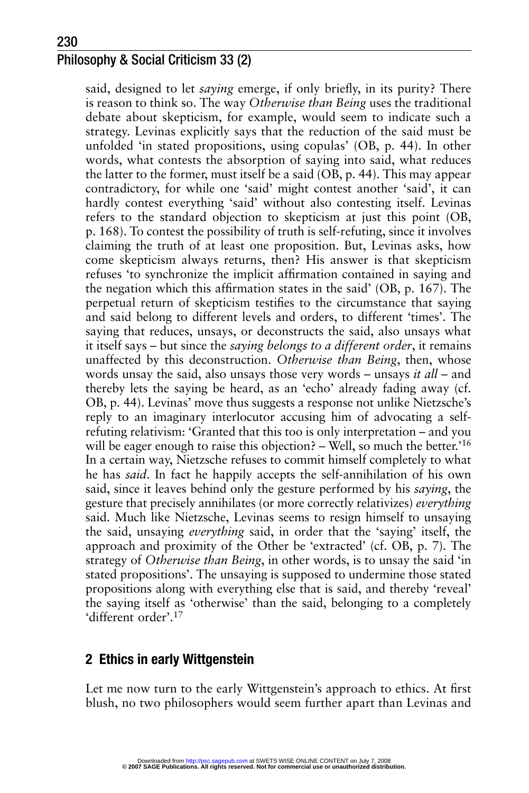said, designed to let *saying* emerge, if only briefly, in its purity? There is reason to think so. The way *Otherwise than Being* uses the traditional debate about skepticism, for example, would seem to indicate such a strategy. Levinas explicitly says that the reduction of the said must be unfolded 'in stated propositions, using copulas' (OB, p. 44). In other words, what contests the absorption of saying into said, what reduces the latter to the former, must itself be a said (OB, p. 44). This may appear contradictory, for while one 'said' might contest another 'said', it can hardly contest everything 'said' without also contesting itself. Levinas refers to the standard objection to skepticism at just this point (OB, p. 168). To contest the possibility of truth is self-refuting, since it involves claiming the truth of at least one proposition. But, Levinas asks, how come skepticism always returns, then? His answer is that skepticism refuses 'to synchronize the implicit affirmation contained in saying and the negation which this affirmation states in the said' (OB, p. 167). The perpetual return of skepticism testifies to the circumstance that saying and said belong to different levels and orders, to different 'times'. The saying that reduces, unsays, or deconstructs the said, also unsays what it itself says – but since the *saying belongs to a different order*, it remains unaffected by this deconstruction. *Otherwise than Being*, then, whose words unsay the said, also unsays those very words – unsays *it all* – and thereby lets the saying be heard, as an 'echo' already fading away (cf. OB, p. 44). Levinas' move thus suggests a response not unlike Nietzsche's reply to an imaginary interlocutor accusing him of advocating a selfrefuting relativism: 'Granted that this too is only interpretation – and you will be eager enough to raise this objection? – Well, so much the better.<sup>'16</sup> In a certain way, Nietzsche refuses to commit himself completely to what he has *said*. In fact he happily accepts the self-annihilation of his own said, since it leaves behind only the gesture performed by his *saying*, the gesture that precisely annihilates (or more correctly relativizes) *everything* said. Much like Nietzsche, Levinas seems to resign himself to unsaying the said, unsaying *everything* said, in order that the 'saying' itself, the approach and proximity of the Other be 'extracted' (cf. OB, p. 7). The strategy of *Otherwise than Being*, in other words, is to unsay the said 'in stated propositions'. The unsaying is supposed to undermine those stated propositions along with everything else that is said, and thereby 'reveal' the saying itself as 'otherwise' than the said, belonging to a completely 'different order'.<sup>17</sup>

#### **2 Ethics in early Wittgenstein**

Let me now turn to the early Wittgenstein's approach to ethics. At first blush, no two philosophers would seem further apart than Levinas and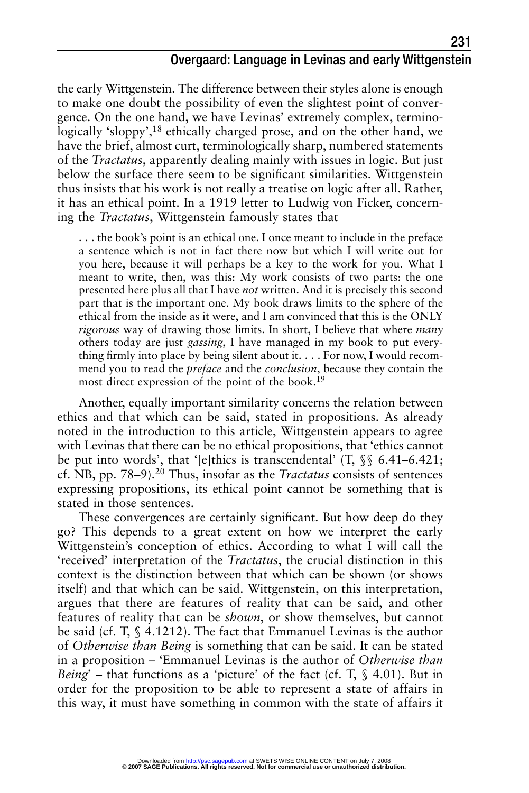the early Wittgenstein. The difference between their styles alone is enough to make one doubt the possibility of even the slightest point of convergence. On the one hand, we have Levinas' extremely complex, terminologically 'sloppy',<sup>18</sup> ethically charged prose, and on the other hand, we have the brief, almost curt, terminologically sharp, numbered statements of the *Tractatus*, apparently dealing mainly with issues in logic. But just below the surface there seem to be significant similarities. Wittgenstein thus insists that his work is not really a treatise on logic after all. Rather, it has an ethical point. In a 1919 letter to Ludwig von Ficker, concerning the *Tractatus*, Wittgenstein famously states that

. . . the book's point is an ethical one. I once meant to include in the preface a sentence which is not in fact there now but which I will write out for you here, because it will perhaps be a key to the work for you. What I meant to write, then, was this: My work consists of two parts: the one presented here plus all that I have *not* written. And it is precisely this second part that is the important one. My book draws limits to the sphere of the ethical from the inside as it were, and I am convinced that this is the ONLY *rigorous* way of drawing those limits. In short, I believe that where *many* others today are just *gassing*, I have managed in my book to put everything firmly into place by being silent about it. . . . For now, I would recommend you to read the *preface* and the *conclusion*, because they contain the most direct expression of the point of the book.<sup>19</sup>

Another, equally important similarity concerns the relation between ethics and that which can be said, stated in propositions. As already noted in the introduction to this article, Wittgenstein appears to agree with Levinas that there can be no ethical propositions, that 'ethics cannot be put into words', that '[e]thics is transcendental'  $(T, \S \S 6.41-6.421;$ cf. NB, pp. 78–9).20 Thus, insofar as the *Tractatus* consists of sentences expressing propositions, its ethical point cannot be something that is stated in those sentences.

These convergences are certainly significant. But how deep do they go? This depends to a great extent on how we interpret the early Wittgenstein's conception of ethics. According to what I will call the 'received' interpretation of the *Tractatus*, the crucial distinction in this context is the distinction between that which can be shown (or shows itself) and that which can be said. Wittgenstein, on this interpretation, argues that there are features of reality that can be said, and other features of reality that can be *shown*, or show themselves, but cannot be said (cf. T, § 4.1212). The fact that Emmanuel Levinas is the author of *Otherwise than Being* is something that can be said. It can be stated in a proposition – 'Emmanuel Levinas is the author of *Otherwise than Being*' – that functions as a 'picture' of the fact (cf. T, § 4.01). But in order for the proposition to be able to represent a state of affairs in this way, it must have something in common with the state of affairs it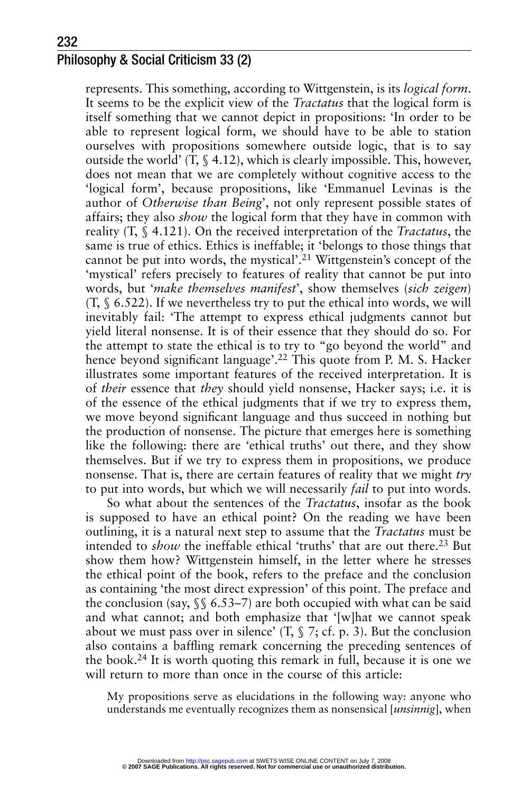represents. This something, according to Wittgenstein, is its *logical form*. It seems to be the explicit view of the *Tractatus* that the logical form is itself something that we cannot depict in propositions: 'In order to be able to represent logical form, we should have to be able to station ourselves with propositions somewhere outside logic, that is to say outside the world' (T, § 4.12), which is clearly impossible. This, however, does not mean that we are completely without cognitive access to the 'logical form', because propositions, like 'Emmanuel Levinas is the author of *Otherwise than Being*', not only represent possible states of affairs; they also *show* the logical form that they have in common with reality (T, § 4.121). On the received interpretation of the *Tractatus*, the same is true of ethics. Ethics is ineffable; it 'belongs to those things that cannot be put into words, the mystical'.21 Wittgenstein's concept of the 'mystical' refers precisely to features of reality that cannot be put into words, but '*make themselves manifest*', show themselves (*sich zeigen*)  $(T, \S 6.522)$ . If we nevertheless try to put the ethical into words, we will inevitably fail: 'The attempt to express ethical judgments cannot but yield literal nonsense. It is of their essence that they should do so. For the attempt to state the ethical is to try to "go beyond the world" and hence beyond significant language'.<sup>22</sup> This quote from P. M. S. Hacker illustrates some important features of the received interpretation. It is of *their* essence that *they* should yield nonsense, Hacker says; i.e. it is of the essence of the ethical judgments that if we try to express them, we move beyond significant language and thus succeed in nothing but the production of nonsense. The picture that emerges here is something like the following: there are 'ethical truths' out there, and they show themselves. But if we try to express them in propositions, we produce nonsense. That is, there are certain features of reality that we might *try* to put into words, but which we will necessarily *fail* to put into words.

So what about the sentences of the *Tractatus*, insofar as the book is supposed to have an ethical point? On the reading we have been outlining, it is a natural next step to assume that the *Tractatus* must be intended to *show* the ineffable ethical 'truths' that are out there.<sup>23</sup> But show them how? Wittgenstein himself, in the letter where he stresses the ethical point of the book, refers to the preface and the conclusion as containing 'the most direct expression' of this point. The preface and the conclusion (say,  $\S$  6.53–7) are both occupied with what can be said and what cannot; and both emphasize that '[w]hat we cannot speak about we must pass over in silence'  $(T, \S$  7; cf. p. 3). But the conclusion also contains a baffling remark concerning the preceding sentences of the book.<sup>24</sup> It is worth quoting this remark in full, because it is one we will return to more than once in the course of this article:

My propositions serve as elucidations in the following way: anyone who understands me eventually recognizes them as nonsensical [*unsinnig*], when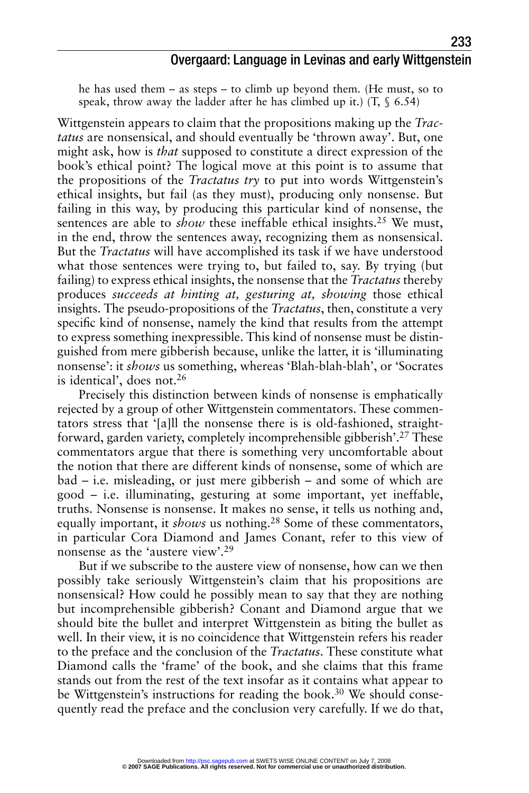233

he has used them – as steps – to climb up beyond them. (He must, so to speak, throw away the ladder after he has climbed up it.)  $(T, \S, 6.54)$ 

Wittgenstein appears to claim that the propositions making up the *Tractatus* are nonsensical, and should eventually be 'thrown away'. But, one might ask, how is *that* supposed to constitute a direct expression of the book's ethical point? The logical move at this point is to assume that the propositions of the *Tractatus try* to put into words Wittgenstein's ethical insights, but fail (as they must), producing only nonsense. But failing in this way, by producing this particular kind of nonsense, the sentences are able to *show* these ineffable ethical insights.<sup>25</sup> We must, in the end, throw the sentences away, recognizing them as nonsensical. But the *Tractatus* will have accomplished its task if we have understood what those sentences were trying to, but failed to, say. By trying (but failing) to express ethical insights, the nonsense that the *Tractatus* thereby produces *succeeds at hinting at, gesturing at, showing* those ethical insights. The pseudo-propositions of the *Tractatus*, then, constitute a very specific kind of nonsense, namely the kind that results from the attempt to express something inexpressible. This kind of nonsense must be distinguished from mere gibberish because, unlike the latter, it is 'illuminating nonsense': it *shows* us something, whereas 'Blah-blah-blah', or 'Socrates is identical', does not.26

Precisely this distinction between kinds of nonsense is emphatically rejected by a group of other Wittgenstein commentators. These commentators stress that '[a]ll the nonsense there is is old-fashioned, straightforward, garden variety, completely incomprehensible gibberish'.27 These commentators argue that there is something very uncomfortable about the notion that there are different kinds of nonsense, some of which are bad – i.e. misleading, or just mere gibberish – and some of which are good – i.e. illuminating, gesturing at some important, yet ineffable, truths. Nonsense is nonsense. It makes no sense, it tells us nothing and, equally important, it *shows* us nothing.<sup>28</sup> Some of these commentators, in particular Cora Diamond and James Conant, refer to this view of nonsense as the 'austere view'.29

But if we subscribe to the austere view of nonsense, how can we then possibly take seriously Wittgenstein's claim that his propositions are nonsensical? How could he possibly mean to say that they are nothing but incomprehensible gibberish? Conant and Diamond argue that we should bite the bullet and interpret Wittgenstein as biting the bullet as well. In their view, it is no coincidence that Wittgenstein refers his reader to the preface and the conclusion of the *Tractatus*. These constitute what Diamond calls the 'frame' of the book, and she claims that this frame stands out from the rest of the text insofar as it contains what appear to be Wittgenstein's instructions for reading the book.<sup>30</sup> We should consequently read the preface and the conclusion very carefully. If we do that,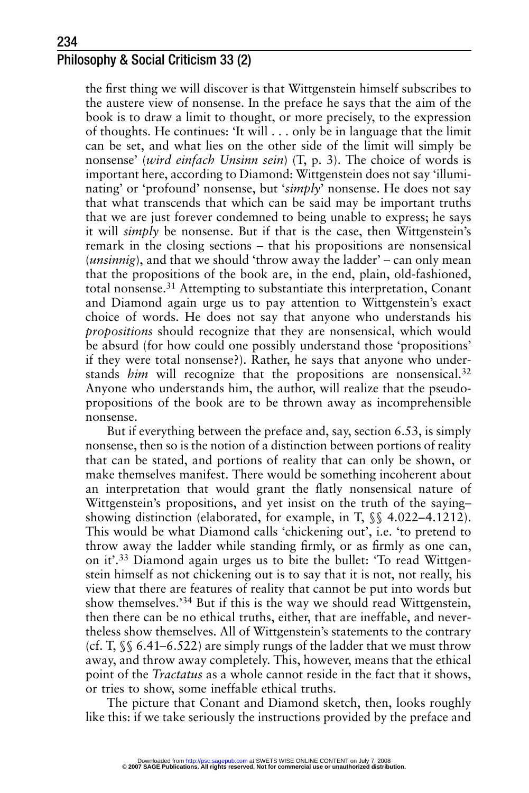the first thing we will discover is that Wittgenstein himself subscribes to the austere view of nonsense. In the preface he says that the aim of the book is to draw a limit to thought, or more precisely, to the expression of thoughts. He continues: 'It will . . . only be in language that the limit can be set, and what lies on the other side of the limit will simply be nonsense' (*wird einfach Unsinn sein*) (T, p. 3). The choice of words is important here, according to Diamond: Wittgenstein does not say 'illuminating' or 'profound' nonsense, but '*simply*' nonsense. He does not say that what transcends that which can be said may be important truths that we are just forever condemned to being unable to express; he says it will *simply* be nonsense. But if that is the case, then Wittgenstein's remark in the closing sections – that his propositions are nonsensical (*unsinnig*), and that we should 'throw away the ladder' – can only mean that the propositions of the book are, in the end, plain, old-fashioned, total nonsense.31 Attempting to substantiate this interpretation, Conant and Diamond again urge us to pay attention to Wittgenstein's exact choice of words. He does not say that anyone who understands his *propositions* should recognize that they are nonsensical, which would be absurd (for how could one possibly understand those 'propositions' if they were total nonsense?). Rather, he says that anyone who understands *him* will recognize that the propositions are nonsensical.<sup>32</sup> Anyone who understands him, the author, will realize that the pseudopropositions of the book are to be thrown away as incomprehensible nonsense.

But if everything between the preface and, say, section 6.53, is simply nonsense, then so is the notion of a distinction between portions of reality that can be stated, and portions of reality that can only be shown, or make themselves manifest. There would be something incoherent about an interpretation that would grant the flatly nonsensical nature of Wittgenstein's propositions, and yet insist on the truth of the saying– showing distinction (elaborated, for example, in T, §§ 4.022–4.1212). This would be what Diamond calls 'chickening out', i.e. 'to pretend to throw away the ladder while standing firmly, or as firmly as one can, on it'.33 Diamond again urges us to bite the bullet: 'To read Wittgenstein himself as not chickening out is to say that it is not, not really, his view that there are features of reality that cannot be put into words but show themselves.'34 But if this is the way we should read Wittgenstein, then there can be no ethical truths, either, that are ineffable, and nevertheless show themselves. All of Wittgenstein's statements to the contrary (cf. T,  $\frac{6}{5}$  6.41–6.522) are simply rungs of the ladder that we must throw away, and throw away completely. This, however, means that the ethical point of the *Tractatus* as a whole cannot reside in the fact that it shows, or tries to show, some ineffable ethical truths.

The picture that Conant and Diamond sketch, then, looks roughly like this: if we take seriously the instructions provided by the preface and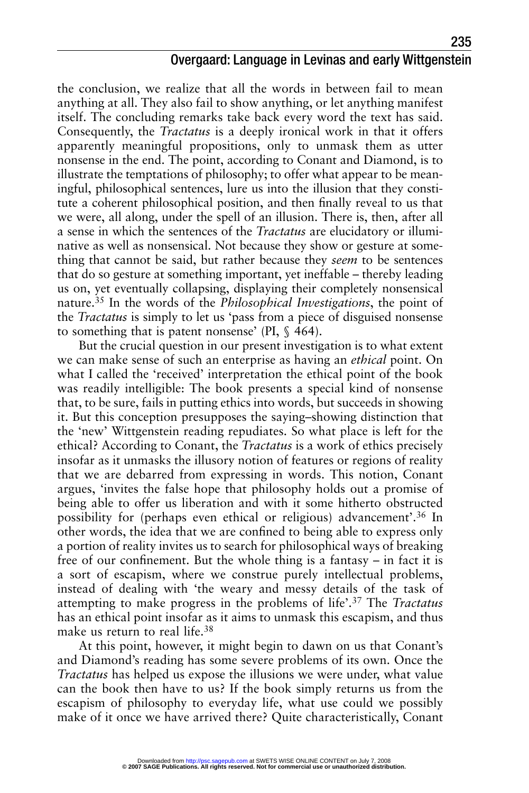the conclusion, we realize that all the words in between fail to mean anything at all. They also fail to show anything, or let anything manifest itself. The concluding remarks take back every word the text has said. Consequently, the *Tractatus* is a deeply ironical work in that it offers apparently meaningful propositions, only to unmask them as utter nonsense in the end. The point, according to Conant and Diamond, is to illustrate the temptations of philosophy; to offer what appear to be meaningful, philosophical sentences, lure us into the illusion that they constitute a coherent philosophical position, and then finally reveal to us that we were, all along, under the spell of an illusion. There is, then, after all a sense in which the sentences of the *Tractatus* are elucidatory or illuminative as well as nonsensical. Not because they show or gesture at something that cannot be said, but rather because they *seem* to be sentences that do so gesture at something important, yet ineffable – thereby leading us on, yet eventually collapsing, displaying their completely nonsensical nature.35 In the words of the *Philosophical Investigations*, the point of the *Tractatus* is simply to let us 'pass from a piece of disguised nonsense to something that is patent nonsense' (PI,  $\{\}$  464).

But the crucial question in our present investigation is to what extent we can make sense of such an enterprise as having an *ethical* point. On what I called the 'received' interpretation the ethical point of the book was readily intelligible: The book presents a special kind of nonsense that, to be sure, fails in putting ethics into words, but succeeds in showing it. But this conception presupposes the saying–showing distinction that the 'new' Wittgenstein reading repudiates. So what place is left for the ethical? According to Conant, the *Tractatus* is a work of ethics precisely insofar as it unmasks the illusory notion of features or regions of reality that we are debarred from expressing in words. This notion, Conant argues, 'invites the false hope that philosophy holds out a promise of being able to offer us liberation and with it some hitherto obstructed possibility for (perhaps even ethical or religious) advancement'.36 In other words, the idea that we are confined to being able to express only a portion of reality invites us to search for philosophical ways of breaking free of our confinement. But the whole thing is a fantasy – in fact it is a sort of escapism, where we construe purely intellectual problems, instead of dealing with 'the weary and messy details of the task of attempting to make progress in the problems of life'.37 The *Tractatus* has an ethical point insofar as it aims to unmask this escapism, and thus make us return to real life.<sup>38</sup>

At this point, however, it might begin to dawn on us that Conant's and Diamond's reading has some severe problems of its own. Once the *Tractatus* has helped us expose the illusions we were under, what value can the book then have to us? If the book simply returns us from the escapism of philosophy to everyday life, what use could we possibly make of it once we have arrived there? Quite characteristically, Conant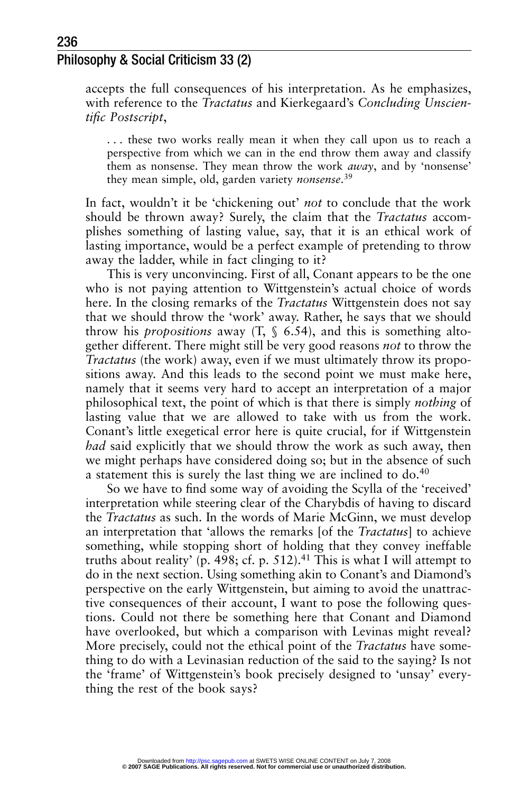accepts the full consequences of his interpretation. As he emphasizes, with reference to the *Tractatus* and Kierkegaard's *Concluding Unscientific Postscript*,

. . . these two works really mean it when they call upon us to reach a perspective from which we can in the end throw them away and classify them as nonsense. They mean throw the work *away*, and by 'nonsense' they mean simple, old, garden variety *nonsense*. 39

In fact, wouldn't it be 'chickening out' *not* to conclude that the work should be thrown away? Surely, the claim that the *Tractatus* accomplishes something of lasting value, say, that it is an ethical work of lasting importance, would be a perfect example of pretending to throw away the ladder, while in fact clinging to it?

This is very unconvincing. First of all, Conant appears to be the one who is not paying attention to Wittgenstein's actual choice of words here. In the closing remarks of the *Tractatus* Wittgenstein does not say that we should throw the 'work' away. Rather, he says that we should throw his *propositions* away (T, § 6.54), and this is something altogether different. There might still be very good reasons *not* to throw the *Tractatus* (the work) away, even if we must ultimately throw its propositions away. And this leads to the second point we must make here, namely that it seems very hard to accept an interpretation of a major philosophical text, the point of which is that there is simply *nothing* of lasting value that we are allowed to take with us from the work. Conant's little exegetical error here is quite crucial, for if Wittgenstein *had* said explicitly that we should throw the work as such away, then we might perhaps have considered doing so; but in the absence of such a statement this is surely the last thing we are inclined to do.<sup>40</sup>

So we have to find some way of avoiding the Scylla of the 'received' interpretation while steering clear of the Charybdis of having to discard the *Tractatus* as such. In the words of Marie McGinn, we must develop an interpretation that 'allows the remarks [of the *Tractatus*] to achieve something, while stopping short of holding that they convey ineffable truths about reality' (p. 498; cf. p. 512).<sup>41</sup> This is what I will attempt to do in the next section. Using something akin to Conant's and Diamond's perspective on the early Wittgenstein, but aiming to avoid the unattractive consequences of their account, I want to pose the following questions. Could not there be something here that Conant and Diamond have overlooked, but which a comparison with Levinas might reveal? More precisely, could not the ethical point of the *Tractatus* have something to do with a Levinasian reduction of the said to the saying? Is not the 'frame' of Wittgenstein's book precisely designed to 'unsay' everything the rest of the book says?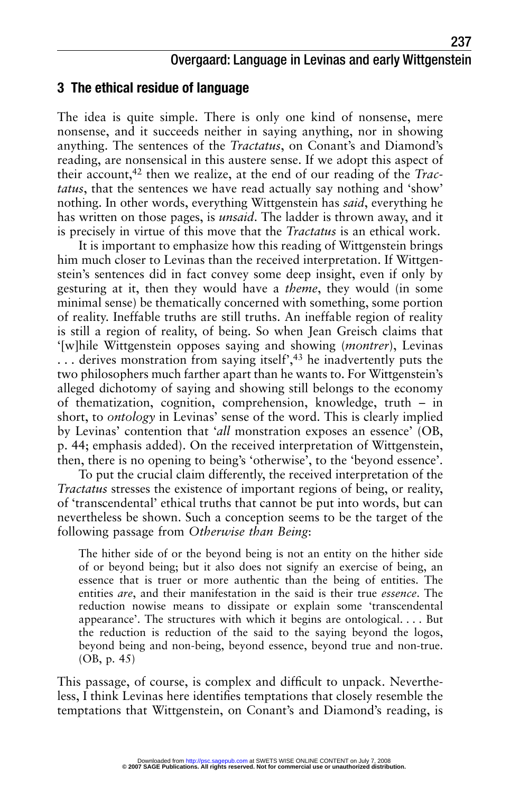237

#### **3 The ethical residue of language**

The idea is quite simple. There is only one kind of nonsense, mere nonsense, and it succeeds neither in saying anything, nor in showing anything. The sentences of the *Tractatus*, on Conant's and Diamond's reading, are nonsensical in this austere sense. If we adopt this aspect of their account,42 then we realize, at the end of our reading of the *Tractatus*, that the sentences we have read actually say nothing and 'show' nothing. In other words, everything Wittgenstein has *said*, everything he has written on those pages, is *unsaid*. The ladder is thrown away, and it is precisely in virtue of this move that the *Tractatus* is an ethical work.

It is important to emphasize how this reading of Wittgenstein brings him much closer to Levinas than the received interpretation. If Wittgenstein's sentences did in fact convey some deep insight, even if only by gesturing at it, then they would have a *theme*, they would (in some minimal sense) be thematically concerned with something, some portion of reality. Ineffable truths are still truths. An ineffable region of reality is still a region of reality, of being. So when Jean Greisch claims that '[w]hile Wittgenstein opposes saying and showing (*montrer*), Levinas ... derives monstration from saying itself<sup>', 43</sup> he inadvertently puts the two philosophers much farther apart than he wants to. For Wittgenstein's alleged dichotomy of saying and showing still belongs to the economy of thematization, cognition, comprehension, knowledge, truth – in short, to *ontology* in Levinas' sense of the word. This is clearly implied by Levinas' contention that '*all* monstration exposes an essence' (OB, p. 44; emphasis added). On the received interpretation of Wittgenstein, then, there is no opening to being's 'otherwise', to the 'beyond essence'.

To put the crucial claim differently, the received interpretation of the *Tractatus* stresses the existence of important regions of being, or reality, of 'transcendental' ethical truths that cannot be put into words, but can nevertheless be shown. Such a conception seems to be the target of the following passage from *Otherwise than Being*:

The hither side of or the beyond being is not an entity on the hither side of or beyond being; but it also does not signify an exercise of being, an essence that is truer or more authentic than the being of entities. The entities *are*, and their manifestation in the said is their true *essence*. The reduction nowise means to dissipate or explain some 'transcendental appearance'. The structures with which it begins are ontological. . . . But the reduction is reduction of the said to the saying beyond the logos, beyond being and non-being, beyond essence, beyond true and non-true. (OB, p. 45)

This passage, of course, is complex and difficult to unpack. Nevertheless, I think Levinas here identifies temptations that closely resemble the temptations that Wittgenstein, on Conant's and Diamond's reading, is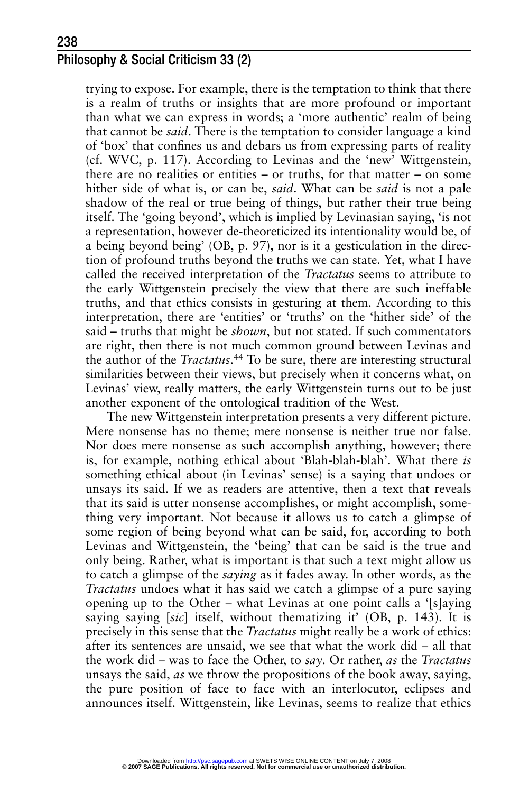trying to expose. For example, there is the temptation to think that there is a realm of truths or insights that are more profound or important than what we can express in words; a 'more authentic' realm of being that cannot be *said*. There is the temptation to consider language a kind of 'box' that confines us and debars us from expressing parts of reality (cf. WVC, p. 117). According to Levinas and the 'new' Wittgenstein, there are no realities or entities – or truths, for that matter – on some hither side of what is, or can be, *said*. What can be *said* is not a pale shadow of the real or true being of things, but rather their true being itself. The 'going beyond', which is implied by Levinasian saying, 'is not a representation, however de-theoreticized its intentionality would be, of a being beyond being' (OB, p. 97), nor is it a gesticulation in the direction of profound truths beyond the truths we can state. Yet, what I have called the received interpretation of the *Tractatus* seems to attribute to the early Wittgenstein precisely the view that there are such ineffable truths, and that ethics consists in gesturing at them. According to this interpretation, there are 'entities' or 'truths' on the 'hither side' of the said – truths that might be *shown*, but not stated. If such commentators are right, then there is not much common ground between Levinas and the author of the *Tractatus*. <sup>44</sup> To be sure, there are interesting structural similarities between their views, but precisely when it concerns what, on Levinas' view, really matters, the early Wittgenstein turns out to be just another exponent of the ontological tradition of the West.

The new Wittgenstein interpretation presents a very different picture. Mere nonsense has no theme; mere nonsense is neither true nor false. Nor does mere nonsense as such accomplish anything, however; there is, for example, nothing ethical about 'Blah-blah-blah'. What there *is* something ethical about (in Levinas' sense) is a saying that undoes or unsays its said. If we as readers are attentive, then a text that reveals that its said is utter nonsense accomplishes, or might accomplish, something very important. Not because it allows us to catch a glimpse of some region of being beyond what can be said, for, according to both Levinas and Wittgenstein, the 'being' that can be said is the true and only being. Rather, what is important is that such a text might allow us to catch a glimpse of the *saying* as it fades away. In other words, as the *Tractatus* undoes what it has said we catch a glimpse of a pure saying opening up to the Other – what Levinas at one point calls a '[s]aying saying saying [*sic*] itself, without thematizing it' (OB, p. 143). It is precisely in this sense that the *Tractatus* might really be a work of ethics: after its sentences are unsaid, we see that what the work did – all that the work did – was to face the Other, to *say*. Or rather, *as* the *Tractatus* unsays the said, *as* we throw the propositions of the book away, saying, the pure position of face to face with an interlocutor, eclipses and announces itself. Wittgenstein, like Levinas, seems to realize that ethics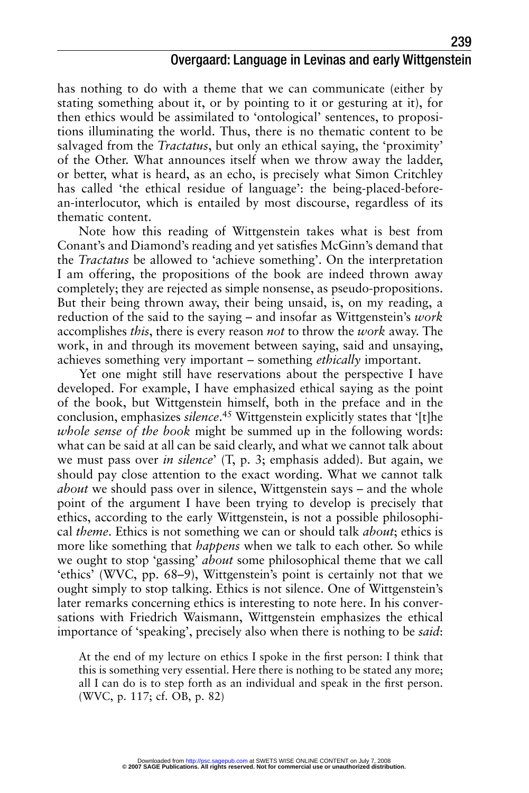has nothing to do with a theme that we can communicate (either by stating something about it, or by pointing to it or gesturing at it), for then ethics would be assimilated to 'ontological' sentences, to propositions illuminating the world. Thus, there is no thematic content to be salvaged from the *Tractatus*, but only an ethical saying, the 'proximity' of the Other. What announces itself when we throw away the ladder, or better, what is heard, as an echo, is precisely what Simon Critchley has called 'the ethical residue of language': the being-placed-beforean-interlocutor, which is entailed by most discourse, regardless of its thematic content.

Note how this reading of Wittgenstein takes what is best from Conant's and Diamond's reading and yet satisfies McGinn's demand that the *Tractatus* be allowed to 'achieve something'. On the interpretation I am offering, the propositions of the book are indeed thrown away completely; they are rejected as simple nonsense, as pseudo-propositions. But their being thrown away, their being unsaid, is, on my reading, a reduction of the said to the saying – and insofar as Wittgenstein's *work* accomplishes *this*, there is every reason *not* to throw the *work* away. The work, in and through its movement between saying, said and unsaying, achieves something very important – something *ethically* important.

Yet one might still have reservations about the perspective I have developed. For example, I have emphasized ethical saying as the point of the book, but Wittgenstein himself, both in the preface and in the conclusion, emphasizes *silence*. <sup>45</sup> Wittgenstein explicitly states that '[t]he *whole sense of the book* might be summed up in the following words: what can be said at all can be said clearly, and what we cannot talk about we must pass over *in silence*' (T, p. 3; emphasis added). But again, we should pay close attention to the exact wording. What we cannot talk *about* we should pass over in silence, Wittgenstein says – and the whole point of the argument I have been trying to develop is precisely that ethics, according to the early Wittgenstein, is not a possible philosophical *theme*. Ethics is not something we can or should talk *about*; ethics is more like something that *happens* when we talk to each other. So while we ought to stop 'gassing' *about* some philosophical theme that we call 'ethics' (WVC, pp. 68–9), Wittgenstein's point is certainly not that we ought simply to stop talking. Ethics is not silence. One of Wittgenstein's later remarks concerning ethics is interesting to note here. In his conversations with Friedrich Waismann, Wittgenstein emphasizes the ethical importance of 'speaking', precisely also when there is nothing to be *said*:

At the end of my lecture on ethics I spoke in the first person: I think that this is something very essential. Here there is nothing to be stated any more; all I can do is to step forth as an individual and speak in the first person. (WVC, p. 117; cf. OB, p. 82)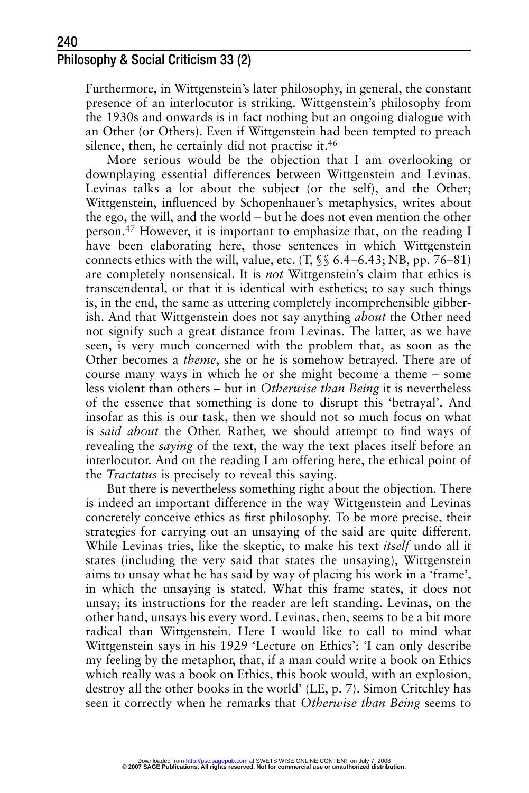Furthermore, in Wittgenstein's later philosophy, in general, the constant presence of an interlocutor is striking. Wittgenstein's philosophy from the 1930s and onwards is in fact nothing but an ongoing dialogue with an Other (or Others). Even if Wittgenstein had been tempted to preach silence, then, he certainly did not practise it.<sup>46</sup>

More serious would be the objection that I am overlooking or downplaying essential differences between Wittgenstein and Levinas. Levinas talks a lot about the subject (or the self), and the Other; Wittgenstein, influenced by Schopenhauer's metaphysics, writes about the ego, the will, and the world – but he does not even mention the other person.47 However, it is important to emphasize that, on the reading I have been elaborating here, those sentences in which Wittgenstein connects ethics with the will, value, etc.  $(T, \S \S 6.4-6.43; NB, pp. 76-81)$ are completely nonsensical. It is *not* Wittgenstein's claim that ethics is transcendental, or that it is identical with esthetics; to say such things is, in the end, the same as uttering completely incomprehensible gibberish. And that Wittgenstein does not say anything *about* the Other need not signify such a great distance from Levinas. The latter, as we have seen, is very much concerned with the problem that, as soon as the Other becomes a *theme*, she or he is somehow betrayed. There are of course many ways in which he or she might become a theme – some less violent than others – but in *Otherwise than Being* it is nevertheless of the essence that something is done to disrupt this 'betrayal'. And insofar as this is our task, then we should not so much focus on what is *said about* the Other. Rather, we should attempt to find ways of revealing the *saying* of the text, the way the text places itself before an interlocutor. And on the reading I am offering here, the ethical point of the *Tractatus* is precisely to reveal this saying.

But there is nevertheless something right about the objection. There is indeed an important difference in the way Wittgenstein and Levinas concretely conceive ethics as first philosophy. To be more precise, their strategies for carrying out an unsaying of the said are quite different. While Levinas tries, like the skeptic, to make his text *itself* undo all it states (including the very said that states the unsaying), Wittgenstein aims to unsay what he has said by way of placing his work in a 'frame', in which the unsaying is stated. What this frame states, it does not unsay; its instructions for the reader are left standing. Levinas, on the other hand, unsays his every word. Levinas, then, seems to be a bit more radical than Wittgenstein. Here I would like to call to mind what Wittgenstein says in his 1929 'Lecture on Ethics': 'I can only describe my feeling by the metaphor, that, if a man could write a book on Ethics which really was a book on Ethics, this book would, with an explosion, destroy all the other books in the world' (LE, p. 7). Simon Critchley has seen it correctly when he remarks that *Otherwise than Being* seems to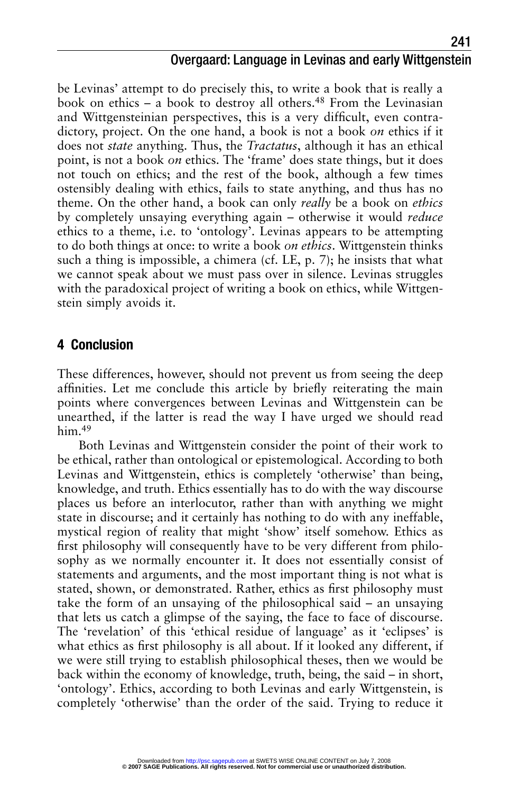be Levinas' attempt to do precisely this, to write a book that is really a book on ethics – a book to destroy all others.<sup>48</sup> From the Levinasian and Wittgensteinian perspectives, this is a very difficult, even contradictory, project. On the one hand, a book is not a book *on* ethics if it does not *state* anything. Thus, the *Tractatus*, although it has an ethical point, is not a book *on* ethics. The 'frame' does state things, but it does not touch on ethics; and the rest of the book, although a few times ostensibly dealing with ethics, fails to state anything, and thus has no theme. On the other hand, a book can only *really* be a book on *ethics* by completely unsaying everything again – otherwise it would *reduce* ethics to a theme, i.e. to 'ontology'. Levinas appears to be attempting to do both things at once: to write a book *on ethics*. Wittgenstein thinks such a thing is impossible, a chimera (cf. LE, p. 7); he insists that what we cannot speak about we must pass over in silence. Levinas struggles with the paradoxical project of writing a book on ethics, while Wittgenstein simply avoids it.

#### **4 Conclusion**

These differences, however, should not prevent us from seeing the deep affinities. Let me conclude this article by briefly reiterating the main points where convergences between Levinas and Wittgenstein can be unearthed, if the latter is read the way I have urged we should read him.49

Both Levinas and Wittgenstein consider the point of their work to be ethical, rather than ontological or epistemological. According to both Levinas and Wittgenstein, ethics is completely 'otherwise' than being, knowledge, and truth. Ethics essentially has to do with the way discourse places us before an interlocutor, rather than with anything we might state in discourse; and it certainly has nothing to do with any ineffable, mystical region of reality that might 'show' itself somehow. Ethics as first philosophy will consequently have to be very different from philosophy as we normally encounter it. It does not essentially consist of statements and arguments, and the most important thing is not what is stated, shown, or demonstrated. Rather, ethics as first philosophy must take the form of an unsaying of the philosophical said – an unsaying that lets us catch a glimpse of the saying, the face to face of discourse. The 'revelation' of this 'ethical residue of language' as it 'eclipses' is what ethics as first philosophy is all about. If it looked any different, if we were still trying to establish philosophical theses, then we would be back within the economy of knowledge, truth, being, the said – in short, 'ontology'. Ethics, according to both Levinas and early Wittgenstein, is completely 'otherwise' than the order of the said. Trying to reduce it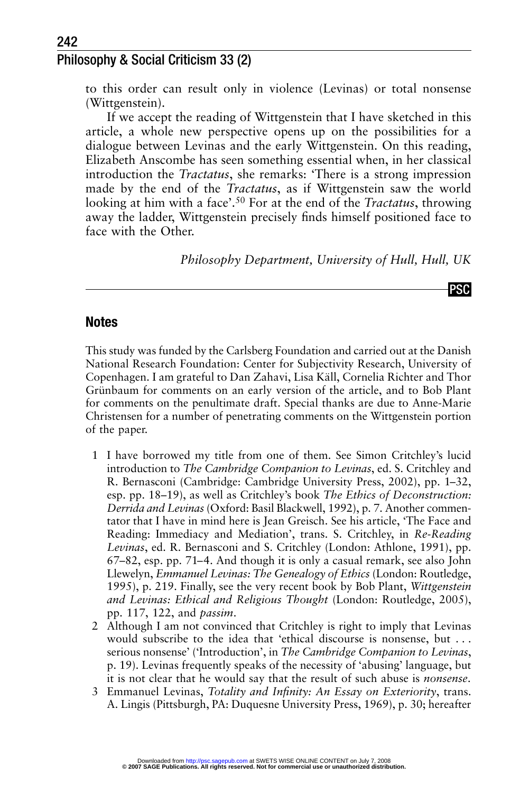to this order can result only in violence (Levinas) or total nonsense (Wittgenstein).

If we accept the reading of Wittgenstein that I have sketched in this article, a whole new perspective opens up on the possibilities for a dialogue between Levinas and the early Wittgenstein. On this reading, Elizabeth Anscombe has seen something essential when, in her classical introduction the *Tractatus*, she remarks: 'There is a strong impression made by the end of the *Tractatus*, as if Wittgenstein saw the world looking at him with a face'.50 For at the end of the *Tractatus*, throwing away the ladder, Wittgenstein precisely finds himself positioned face to face with the Other.

*Philosophy Department, University of Hull, Hull, UK*

PSC

#### **Notes**

This study was funded by the Carlsberg Foundation and carried out at the Danish National Research Foundation: Center for Subjectivity Research, University of Copenhagen. I am grateful to Dan Zahavi, Lisa Käll, Cornelia Richter and Thor Grünbaum for comments on an early version of the article, and to Bob Plant for comments on the penultimate draft. Special thanks are due to Anne-Marie Christensen for a number of penetrating comments on the Wittgenstein portion of the paper.

- 1 I have borrowed my title from one of them. See Simon Critchley's lucid introduction to *The Cambridge Companion to Levinas*, ed. S. Critchley and R. Bernasconi (Cambridge: Cambridge University Press, 2002), pp. 1–32, esp. pp. 18–19), as well as Critchley's book *The Ethics of Deconstruction: Derrida and Levinas* (Oxford: Basil Blackwell, 1992), p. 7. Another commentator that I have in mind here is Jean Greisch. See his article, 'The Face and Reading: Immediacy and Mediation', trans. S. Critchley, in *Re-Reading Levinas*, ed. R. Bernasconi and S. Critchley (London: Athlone, 1991), pp. 67–82, esp. pp. 71–4. And though it is only a casual remark, see also John Llewelyn, *Emmanuel Levinas: The Genealogy of Ethics* (London: Routledge, 1995), p. 219. Finally, see the very recent book by Bob Plant, *Wittgenstein and Levinas: Ethical and Religious Thought* (London: Routledge, 2005), pp. 117, 122, and *passim*.
- 2 Although I am not convinced that Critchley is right to imply that Levinas would subscribe to the idea that 'ethical discourse is nonsense, but . . . serious nonsense' ('Introduction', in *The Cambridge Companion to Levinas*, p. 19). Levinas frequently speaks of the necessity of 'abusing' language, but it is not clear that he would say that the result of such abuse is *nonsense*.
- 3 Emmanuel Levinas, *Totality and Infinity: An Essay on Exteriority*, trans. A. Lingis (Pittsburgh, PA: Duquesne University Press, 1969), p. 30; hereafter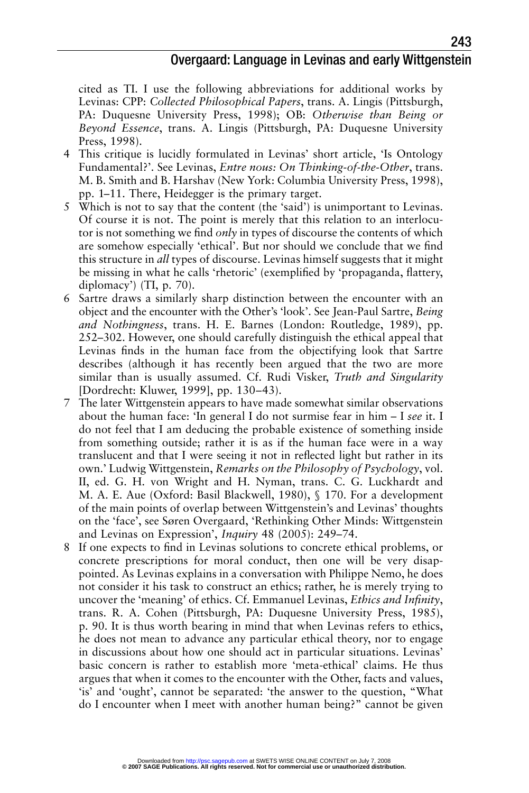243

cited as TI. I use the following abbreviations for additional works by Levinas: CPP: *Collected Philosophical Papers*, trans. A. Lingis (Pittsburgh, PA: Duquesne University Press, 1998); OB: *Otherwise than Being or Beyond Essence*, trans. A. Lingis (Pittsburgh, PA: Duquesne University Press, 1998).

- 4 This critique is lucidly formulated in Levinas' short article, 'Is Ontology Fundamental?'. See Levinas, *Entre nous: On Thinking-of-the-Other*, trans. M. B. Smith and B. Harshav (New York: Columbia University Press, 1998), pp. 1–11. There, Heidegger is the primary target.
- 5 Which is not to say that the content (the 'said') is unimportant to Levinas. Of course it is not. The point is merely that this relation to an interlocutor is not something we find *only* in types of discourse the contents of which are somehow especially 'ethical'. But nor should we conclude that we find this structure in *all* types of discourse. Levinas himself suggests that it might be missing in what he calls 'rhetoric' (exemplified by 'propaganda, flattery, diplomacy') (TI,  $p. 70$ ).
- 6 Sartre draws a similarly sharp distinction between the encounter with an object and the encounter with the Other's 'look'. See Jean-Paul Sartre, *Being and Nothingness*, trans. H. E. Barnes (London: Routledge, 1989), pp. 252–302. However, one should carefully distinguish the ethical appeal that Levinas finds in the human face from the objectifying look that Sartre describes (although it has recently been argued that the two are more similar than is usually assumed. Cf. Rudi Visker, *Truth and Singularity* [Dordrecht: Kluwer, 1999], pp. 130–43).
- 7 The later Wittgenstein appears to have made somewhat similar observations about the human face: 'In general I do not surmise fear in him – I *see* it. I do not feel that I am deducing the probable existence of something inside from something outside; rather it is as if the human face were in a way translucent and that I were seeing it not in reflected light but rather in its own.' Ludwig Wittgenstein, *Remarks on the Philosophy of Psychology*, vol. II, ed. G. H. von Wright and H. Nyman, trans. C. G. Luckhardt and M. A. E. Aue (Oxford: Basil Blackwell, 1980), § 170. For a development of the main points of overlap between Wittgenstein's and Levinas' thoughts on the 'face', see Søren Overgaard, 'Rethinking Other Minds: Wittgenstein and Levinas on Expression', *Inquiry* 48 (2005): 249–74.
- 8 If one expects to find in Levinas solutions to concrete ethical problems, or concrete prescriptions for moral conduct, then one will be very disappointed. As Levinas explains in a conversation with Philippe Nemo, he does not consider it his task to construct an ethics; rather, he is merely trying to uncover the 'meaning' of ethics. Cf. Emmanuel Levinas, *Ethics and Infinity*, trans. R. A. Cohen (Pittsburgh, PA: Duquesne University Press, 1985), p. 90. It is thus worth bearing in mind that when Levinas refers to ethics, he does not mean to advance any particular ethical theory, nor to engage in discussions about how one should act in particular situations. Levinas' basic concern is rather to establish more 'meta-ethical' claims. He thus argues that when it comes to the encounter with the Other, facts and values, 'is' and 'ought', cannot be separated: 'the answer to the question, "What do I encounter when I meet with another human being?" cannot be given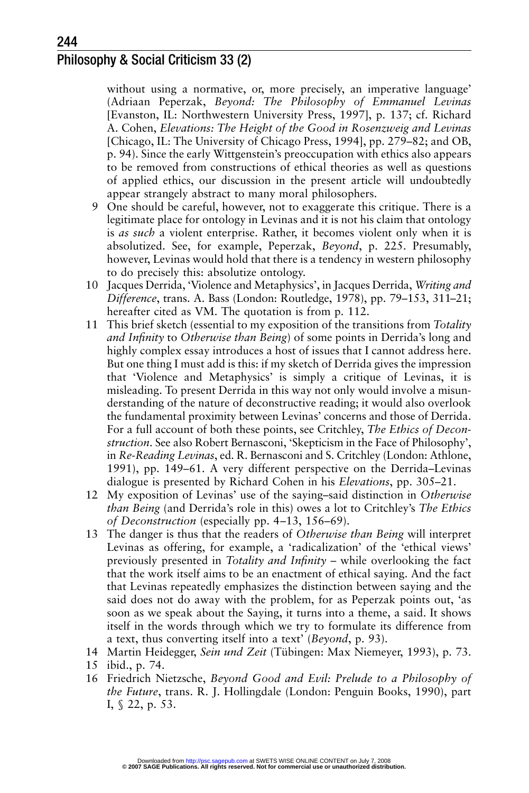244

without using a normative, or, more precisely, an imperative language' (Adriaan Peperzak, *Beyond: The Philosophy of Emmanuel Levinas* [Evanston, IL: Northwestern University Press, 1997], p. 137; cf. Richard A. Cohen, *Elevations: The Height of the Good in Rosenzweig and Levinas* [Chicago, IL: The University of Chicago Press, 1994], pp. 279–82; and OB, p. 94). Since the early Wittgenstein's preoccupation with ethics also appears to be removed from constructions of ethical theories as well as questions of applied ethics, our discussion in the present article will undoubtedly appear strangely abstract to many moral philosophers.

- 9 One should be careful, however, not to exaggerate this critique. There is a legitimate place for ontology in Levinas and it is not his claim that ontology is *as such* a violent enterprise. Rather, it becomes violent only when it is absolutized. See, for example, Peperzak, *Beyond*, p. 225. Presumably, however, Levinas would hold that there is a tendency in western philosophy to do precisely this: absolutize ontology.
- 10 Jacques Derrida, 'Violence and Metaphysics', in Jacques Derrida, *Writing and Difference*, trans. A. Bass (London: Routledge, 1978), pp. 79–153, 311–21; hereafter cited as VM. The quotation is from p. 112.
- 11 This brief sketch (essential to my exposition of the transitions from *Totality and Infinity* to *Otherwise than Being*) of some points in Derrida's long and highly complex essay introduces a host of issues that I cannot address here. But one thing I must add is this: if my sketch of Derrida gives the impression that 'Violence and Metaphysics' is simply a critique of Levinas, it is misleading. To present Derrida in this way not only would involve a misunderstanding of the nature of deconstructive reading; it would also overlook the fundamental proximity between Levinas' concerns and those of Derrida. For a full account of both these points, see Critchley, *The Ethics of Deconstruction*. See also Robert Bernasconi, 'Skepticism in the Face of Philosophy', in *Re-Reading Levinas*, ed. R. Bernasconi and S. Critchley (London: Athlone, 1991), pp. 149–61. A very different perspective on the Derrida–Levinas dialogue is presented by Richard Cohen in his *Elevations*, pp. 305–21.
- 12 My exposition of Levinas' use of the saying–said distinction in *Otherwise than Being* (and Derrida's role in this) owes a lot to Critchley's *The Ethics of Deconstruction* (especially pp. 4–13, 156–69).
- 13 The danger is thus that the readers of *Otherwise than Being* will interpret Levinas as offering, for example, a 'radicalization' of the 'ethical views' previously presented in *Totality and Infinity* – while overlooking the fact that the work itself aims to be an enactment of ethical saying. And the fact that Levinas repeatedly emphasizes the distinction between saying and the said does not do away with the problem, for as Peperzak points out, 'as soon as we speak about the Saying, it turns into a theme, a said. It shows itself in the words through which we try to formulate its difference from a text, thus converting itself into a text' (*Beyond*, p. 93).
- 14 Martin Heidegger, *Sein und Zeit* (Tübingen: Max Niemeyer, 1993), p. 73.
- 15 ibid., p. 74.
- 16 Friedrich Nietzsche, *Beyond Good and Evil: Prelude to a Philosophy of the Future*, trans. R. J. Hollingdale (London: Penguin Books, 1990), part I, § 22, p. 53.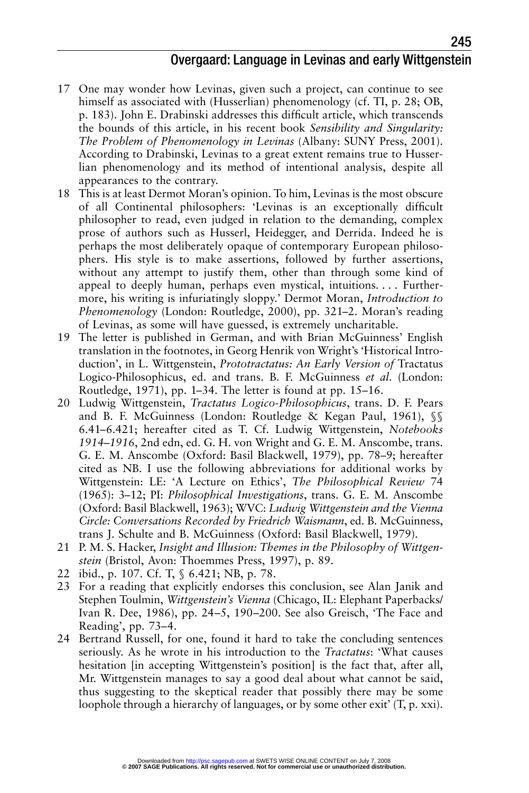245

- 17 One may wonder how Levinas, given such a project, can continue to see himself as associated with (Husserlian) phenomenology (cf. TI, p. 28; OB, p. 183). John E. Drabinski addresses this difficult article, which transcends the bounds of this article, in his recent book *Sensibility and Singularity: The Problem of Phenomenology in Levinas* (Albany: SUNY Press, 2001). According to Drabinski, Levinas to a great extent remains true to Husserlian phenomenology and its method of intentional analysis, despite all appearances to the contrary.
- 18 This is at least Dermot Moran's opinion. To him, Levinas is the most obscure of all Continental philosophers: 'Levinas is an exceptionally difficult philosopher to read, even judged in relation to the demanding, complex prose of authors such as Husserl, Heidegger, and Derrida. Indeed he is perhaps the most deliberately opaque of contemporary European philosophers. His style is to make assertions, followed by further assertions, without any attempt to justify them, other than through some kind of appeal to deeply human, perhaps even mystical, intuitions. . . . Furthermore, his writing is infuriatingly sloppy.' Dermot Moran, *Introduction to Phenomenology* (London: Routledge, 2000), pp. 321–2. Moran's reading of Levinas, as some will have guessed, is extremely uncharitable.
- 19 The letter is published in German, and with Brian McGuinness' English translation in the footnotes, in Georg Henrik von Wright's 'Historical Introduction', in L. Wittgenstein, *Prototractatus: An Early Version of* Tractatus Logico-Philosophicus, ed. and trans. B. F. McGuinness *et al*. (London: Routledge, 1971), pp. 1–34. The letter is found at pp. 15–16.
- 20 Ludwig Wittgenstein, *Tractatus Logico-Philosophicus*, trans. D. F. Pears and B. F. McGuinness (London: Routledge & Kegan Paul, 1961), §§ 6.41–6.421; hereafter cited as T. Cf. Ludwig Wittgenstein, *Notebooks 1914–1916*, 2nd edn, ed. G. H. von Wright and G. E. M. Anscombe, trans. G. E. M. Anscombe (Oxford: Basil Blackwell, 1979), pp. 78–9; hereafter cited as NB. I use the following abbreviations for additional works by Wittgenstein: LE: 'A Lecture on Ethics', *The Philosophical Review* 74 (1965): 3–12; PI: *Philosophical Investigations*, trans. G. E. M. Anscombe (Oxford: Basil Blackwell, 1963); WVC: *Ludwig Wittgenstein and the Vienna Circle: Conversations Recorded by Friedrich Waismann*, ed. B. McGuinness, trans J. Schulte and B. McGuinness (Oxford: Basil Blackwell, 1979).
- 21 P. M. S. Hacker, *Insight and Illusion: Themes in the Philosophy of Wittgenstein* (Bristol, Avon: Thoemmes Press, 1997), p. 89.
- 22 ibid., p. 107. Cf. T, § 6.421; NB, p. 78.
- 23 For a reading that explicitly endorses this conclusion, see Alan Janik and Stephen Toulmin, *Wittgenstein's Vienna* (Chicago, IL: Elephant Paperbacks/ Ivan R. Dee, 1986), pp. 24–5, 190–200. See also Greisch, 'The Face and Reading', pp. 73–4.
- 24 Bertrand Russell, for one, found it hard to take the concluding sentences seriously. As he wrote in his introduction to the *Tractatus*: 'What causes hesitation [in accepting Wittgenstein's position] is the fact that, after all, Mr. Wittgenstein manages to say a good deal about what cannot be said, thus suggesting to the skeptical reader that possibly there may be some loophole through a hierarchy of languages, or by some other exit' (T, p. xxi).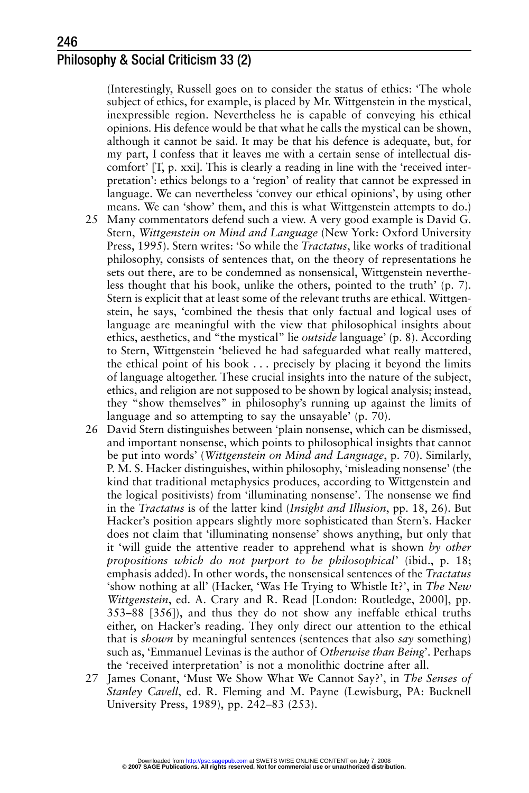(Interestingly, Russell goes on to consider the status of ethics: 'The whole subject of ethics, for example, is placed by Mr. Wittgenstein in the mystical, inexpressible region. Nevertheless he is capable of conveying his ethical opinions. His defence would be that what he calls the mystical can be shown, although it cannot be said. It may be that his defence is adequate, but, for my part, I confess that it leaves me with a certain sense of intellectual discomfort' [T, p. xxi]. This is clearly a reading in line with the 'received interpretation': ethics belongs to a 'region' of reality that cannot be expressed in language. We can nevertheless 'convey our ethical opinions', by using other means. We can 'show' them, and this is what Wittgenstein attempts to do.)

- 25 Many commentators defend such a view. A very good example is David G. Stern, *Wittgenstein on Mind and Language* (New York: Oxford University Press, 1995). Stern writes: 'So while the *Tractatus*, like works of traditional philosophy, consists of sentences that, on the theory of representations he sets out there, are to be condemned as nonsensical, Wittgenstein nevertheless thought that his book, unlike the others, pointed to the truth' (p. 7). Stern is explicit that at least some of the relevant truths are ethical. Wittgenstein, he says, 'combined the thesis that only factual and logical uses of language are meaningful with the view that philosophical insights about ethics, aesthetics, and "the mystical" lie *outside* language' (p. 8). According to Stern, Wittgenstein 'believed he had safeguarded what really mattered, the ethical point of his book . . . precisely by placing it beyond the limits of language altogether. These crucial insights into the nature of the subject, ethics, and religion are not supposed to be shown by logical analysis; instead, they "show themselves" in philosophy's running up against the limits of language and so attempting to say the unsayable' (p. 70).
- 26 David Stern distinguishes between 'plain nonsense, which can be dismissed, and important nonsense, which points to philosophical insights that cannot be put into words' (*Wittgenstein on Mind and Language*, p. 70). Similarly, P. M. S. Hacker distinguishes, within philosophy, 'misleading nonsense' (the kind that traditional metaphysics produces, according to Wittgenstein and the logical positivists) from 'illuminating nonsense'. The nonsense we find in the *Tractatus* is of the latter kind (*Insight and Illusion*, pp. 18, 26). But Hacker's position appears slightly more sophisticated than Stern's. Hacker does not claim that 'illuminating nonsense' shows anything, but only that it 'will guide the attentive reader to apprehend what is shown *by other propositions which do not purport to be philosophical*' (ibid., p. 18; emphasis added). In other words, the nonsensical sentences of the *Tractatus* 'show nothing at all' (Hacker, 'Was He Trying to Whistle It?', in *The New Wittgenstein*, ed. A. Crary and R. Read [London: Routledge, 2000], pp. 353–88 [356]), and thus they do not show any ineffable ethical truths either, on Hacker's reading. They only direct our attention to the ethical that is *shown* by meaningful sentences (sentences that also *say* something) such as, 'Emmanuel Levinas is the author of *Otherwise than Being*'. Perhaps the 'received interpretation' is not a monolithic doctrine after all.
- 27 James Conant, 'Must We Show What We Cannot Say?', in *The Senses of Stanley Cavell*, ed. R. Fleming and M. Payne (Lewisburg, PA: Bucknell University Press, 1989), pp. 242–83 (253).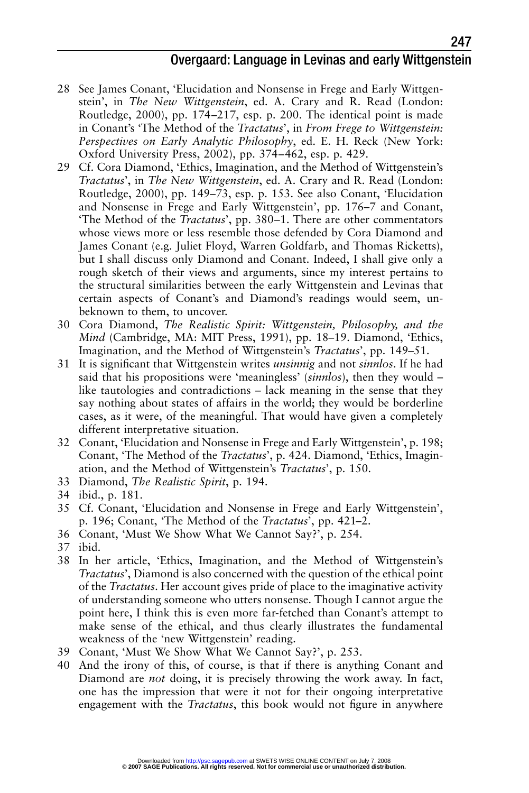- 28 See James Conant, 'Elucidation and Nonsense in Frege and Early Wittgenstein', in *The New Wittgenstein*, ed. A. Crary and R. Read (London: Routledge, 2000), pp. 174–217, esp. p. 200. The identical point is made in Conant's 'The Method of the *Tractatus*', in *From Frege to Wittgenstein: Perspectives on Early Analytic Philosophy*, ed. E. H. Reck (New York: Oxford University Press, 2002), pp. 374–462, esp. p. 429.
- 29 Cf. Cora Diamond, 'Ethics, Imagination, and the Method of Wittgenstein's *Tractatus*', in *The New Wittgenstein*, ed. A. Crary and R. Read (London: Routledge, 2000), pp. 149–73, esp. p. 153. See also Conant, 'Elucidation and Nonsense in Frege and Early Wittgenstein', pp. 176–7 and Conant, 'The Method of the *Tractatus*', pp. 380–1. There are other commentators whose views more or less resemble those defended by Cora Diamond and James Conant (e.g. Juliet Floyd, Warren Goldfarb, and Thomas Ricketts), but I shall discuss only Diamond and Conant. Indeed, I shall give only a rough sketch of their views and arguments, since my interest pertains to the structural similarities between the early Wittgenstein and Levinas that certain aspects of Conant's and Diamond's readings would seem, unbeknown to them, to uncover.
- 30 Cora Diamond, *The Realistic Spirit: Wittgenstein, Philosophy, and the Mind* (Cambridge, MA: MIT Press, 1991), pp. 18–19. Diamond, 'Ethics, Imagination, and the Method of Wittgenstein's *Tractatus*', pp. 149–51.
- 31 It is significant that Wittgenstein writes *unsinnig* and not *sinnlos*. If he had said that his propositions were 'meaningless' (*sinnlos*), then they would – like tautologies and contradictions – lack meaning in the sense that they say nothing about states of affairs in the world; they would be borderline cases, as it were, of the meaningful. That would have given a completely different interpretative situation.
- 32 Conant, 'Elucidation and Nonsense in Frege and Early Wittgenstein', p. 198; Conant, 'The Method of the *Tractatus*', p. 424. Diamond, 'Ethics, Imagination, and the Method of Wittgenstein's *Tractatus*', p. 150.
- 33 Diamond, *The Realistic Spirit*, p. 194.
- 34 ibid., p. 181.
- 35 Cf. Conant, 'Elucidation and Nonsense in Frege and Early Wittgenstein', p. 196; Conant, 'The Method of the *Tractatus*', pp. 421–2.
- 36 Conant, 'Must We Show What We Cannot Say?', p. 254.
- 37 ibid.
- 38 In her article, 'Ethics, Imagination, and the Method of Wittgenstein's *Tractatus*', Diamond is also concerned with the question of the ethical point of the *Tractatus*. Her account gives pride of place to the imaginative activity of understanding someone who utters nonsense. Though I cannot argue the point here, I think this is even more far-fetched than Conant's attempt to make sense of the ethical, and thus clearly illustrates the fundamental weakness of the 'new Wittgenstein' reading.
- 39 Conant, 'Must We Show What We Cannot Say?', p. 253.
- 40 And the irony of this, of course, is that if there is anything Conant and Diamond are *not* doing, it is precisely throwing the work away. In fact, one has the impression that were it not for their ongoing interpretative engagement with the *Tractatus*, this book would not figure in anywhere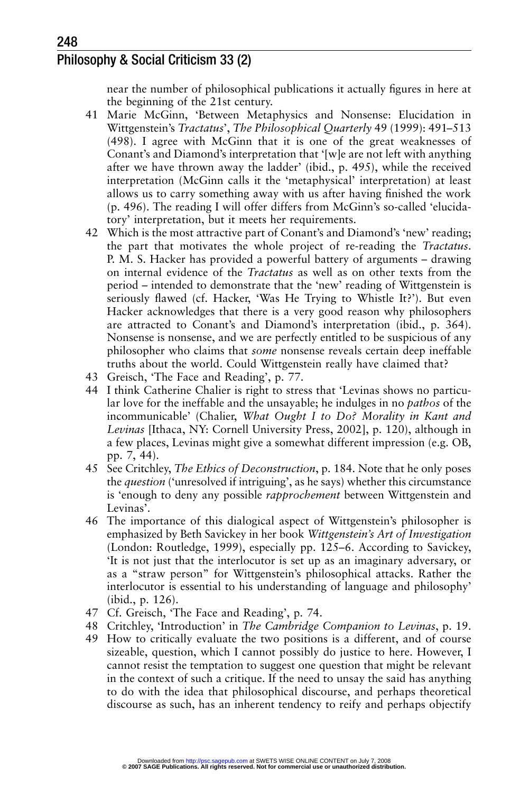248

near the number of philosophical publications it actually figures in here at the beginning of the 21st century.

- 41 Marie McGinn, 'Between Metaphysics and Nonsense: Elucidation in Wittgenstein's *Tractatus*', *The Philosophical Quarterly* 49 (1999): 491–513 (498). I agree with McGinn that it is one of the great weaknesses of Conant's and Diamond's interpretation that '[w]e are not left with anything after we have thrown away the ladder' (ibid., p. 495), while the received interpretation (McGinn calls it the 'metaphysical' interpretation) at least allows us to carry something away with us after having finished the work (p. 496). The reading I will offer differs from McGinn's so-called 'elucidatory' interpretation, but it meets her requirements.
- 42 Which is the most attractive part of Conant's and Diamond's 'new' reading; the part that motivates the whole project of re-reading the *Tractatus*. P. M. S. Hacker has provided a powerful battery of arguments – drawing on internal evidence of the *Tractatus* as well as on other texts from the period – intended to demonstrate that the 'new' reading of Wittgenstein is seriously flawed (cf. Hacker, 'Was He Trying to Whistle It?'). But even Hacker acknowledges that there is a very good reason why philosophers are attracted to Conant's and Diamond's interpretation (ibid., p. 364). Nonsense is nonsense, and we are perfectly entitled to be suspicious of any philosopher who claims that *some* nonsense reveals certain deep ineffable truths about the world. Could Wittgenstein really have claimed that?
- 43 Greisch, 'The Face and Reading', p. 77.
- 44 I think Catherine Chalier is right to stress that 'Levinas shows no particular love for the ineffable and the unsayable; he indulges in no *pathos* of the incommunicable' (Chalier, *What Ought I to Do? Morality in Kant and Levinas* [Ithaca, NY: Cornell University Press, 2002], p. 120), although in a few places, Levinas might give a somewhat different impression (e.g. OB, pp. 7, 44).
- 45 See Critchley, *The Ethics of Deconstruction*, p. 184. Note that he only poses the *question* ('unresolved if intriguing', as he says) whether this circumstance is 'enough to deny any possible *rapprochement* between Wittgenstein and Levinas'.
- 46 The importance of this dialogical aspect of Wittgenstein's philosopher is emphasized by Beth Savickey in her book *Wittgenstein's Art of Investigation* (London: Routledge, 1999), especially pp. 125–6. According to Savickey, 'It is not just that the interlocutor is set up as an imaginary adversary, or as a "straw person" for Wittgenstein's philosophical attacks. Rather the interlocutor is essential to his understanding of language and philosophy' (ibid., p. 126).
- 47 Cf. Greisch, 'The Face and Reading', p. 74.
- 48 Critchley, 'Introduction' in *The Cambridge Companion to Levinas*, p. 19.
- 49 How to critically evaluate the two positions is a different, and of course sizeable, question, which I cannot possibly do justice to here. However, I cannot resist the temptation to suggest one question that might be relevant in the context of such a critique. If the need to unsay the said has anything to do with the idea that philosophical discourse, and perhaps theoretical discourse as such, has an inherent tendency to reify and perhaps objectify